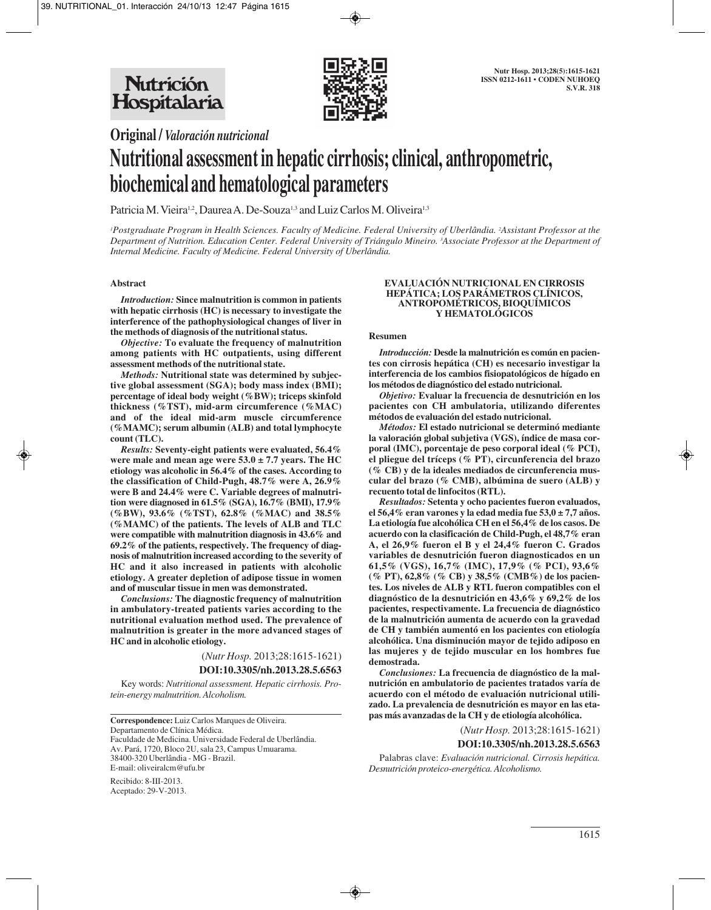

**Original /** *Valoración nutricional*

# **Nutritional assessment in hepatic cirrhosis; clinical, anthropometric, biochemical and hematological parameters**

Patricia M. Vieira<sup>1,2</sup>, Daurea A. De-Souza<sup>1,3</sup> and Luiz Carlos M. Oliveira<sup>1,3</sup>

*1 Postgraduate Program in Health Sciences. Faculty of Medicine. Federal University of Uberlândia. 2 Assistant Professor at the Department of Nutrition. Education Center. Federal University of Triángulo Mineiro. 3 Associate Professor at the Department of Internal Medicine. Faculty of Medicine. Federal University of Uberlândia.*

## **Abstract**

*Introduction:* **Since malnutrition is common in patients with hepatic cirrhosis (HC) is necessary to investigate the interference of the pathophysiological changes of liver in the methods of diagnosis of the nutritional status.**

*Objective:* **To evaluate the frequency of malnutrition among patients with HC outpatients, using different assessment methods of the nutritional state.**

*Methods:* **Nutritional state was determined by subjective global assessment (SGA); body mass index (BMI); percentage of ideal body weight (%BW); triceps skinfold thickness (%TST), mid-arm circumference (%MAC) and of the ideal mid-arm muscle circumference (%MAMC); serum albumin (ALB) and total lymphocyte count (TLC).**

*Results:* **Seventy-eight patients were evaluated, 56.4% were male and mean age were 53.0 ± 7.7 years. The HC etiology was alcoholic in 56.4% of the cases. According to the classification of Child-Pugh, 48.7% were A, 26.9% were B and 24.4% were C. Variable degrees of malnutrition were diagnosed in 61.5% (SGA), 16.7% (BMI), 17.9% (%BW), 93.6% (%TST), 62.8% (%MAC) and 38.5% (%MAMC) of the patients. The levels of ALB and TLC were compatible with malnutrition diagnosis in 43.6% and 69.2% of the patients, respectively. The frequency of diagnosis of malnutrition increased according to the severity of HC and it also increased in patients with alcoholic etiology. A greater depletion of adipose tissue in women and of muscular tissue in men was demonstrated.**

*Conclusions:* **The diagnostic frequency of malnutrition in ambulatory-treated patients varies according to the nutritional evaluation method used. The prevalence of malnutrition is greater in the more advanced stages of HC and in alcoholic etiology.**

> (*Nutr Hosp.* 2013;28:1615-1621) **DOI:10.3305/nh.2013.28.5.6563**

Key words: *Nutritional assessment. Hepatic cirrhosis. Protein-energy malnutrition. Alcoholism.*

**Correspondence:** Luiz Carlos Marques de Oliveira. Departamento de Clínica Médica. Faculdade de Medicina. Universidade Federal de Uberlândia. Av. Pará, 1720, Bloco 2U, sala 23, Campus Umuarama. 38400-320 Uberlândia - MG - Brazil. E-mail: oliveiralcm@ufu.br

Recibido: 8-III-2013. Aceptado: 29-V-2013.

#### **EVALUACIÓN NUTRICIONAL EN CIRROSIS HEPÁTICA; LOS PARÁMETROS CLÍNICOS, ANTROPOMÉTRICOS, BIOQUÍMICOS Y HEMATOLÓGICOS**

#### **Resumen**

*Introducción:* **Desde la malnutrición es común en pacientes con cirrosis hepática (CH) es necesario investigar la interferencia de los cambios fisiopatológicos de hígado en los métodos de diagnóstico del estado nutricional.** 

*Objetivo:* **Evaluar la frecuencia de desnutrición en los pacientes con CH ambulatoria, utilizando diferentes métodos de evaluación del estado nutricional.**

*Métodos:* **El estado nutricional se determinó mediante la valoración global subjetiva (VGS), índice de masa corporal (IMC), porcentaje de peso corporal ideal (% PCI), el pliegue del tríceps (% PT), circunferencia del brazo (% CB) y de la ideales mediados de circunferencia muscular del brazo (% CMB), albúmina de suero (ALB) y recuento total de linfocitos (RTL).** 

*Resultados:* **Setenta y ocho pacientes fueron evaluados, el 56,4% eran varones y la edad media fue 53,0 ± 7,7 años. La etiología fue alcohólica CH en el 56,4% de los casos. De acuerdo con la clasificación de Child-Pugh, el 48,7% eran A, el 26,9% fueron el B y el 24,4% fueron C. Grados variables de desnutrición fueron diagnosticados en un 61,5% (VGS), 16,7% (IMC), 17,9% (% PCI), 93,6% (% PT), 62,8% (% CB) y 38,5% (CMB%) de los pacientes. Los niveles de ALB y RTL fueron compatibles con el diagnóstico de la desnutrición en 43,6% y 69,2% de los pacientes, respectivamente. La frecuencia de diagnóstico de la malnutrición aumenta de acuerdo con la gravedad de CH y también aumentó en los pacientes con etiología alcohólica. Una disminución mayor de tejido adiposo en las mujeres y de tejido muscular en los hombres fue demostrada.** 

*Conclusiones:* **La frecuencia de diagnóstico de la malnutrición en ambulatorio de pacientes tratados varía de acuerdo con el método de evaluación nutricional utilizado. La prevalencia de desnutrición es mayor en las etapas más avanzadas de la CH y de etiología alcohólica.**

> (*Nutr Hosp.* 2013;28:1615-1621) **DOI:10.3305/nh.2013.28.5.6563**

Palabras clave: *Evaluación nutricional. Cirrosis hepática. Desnutrición proteico-energética. Alcoholismo.*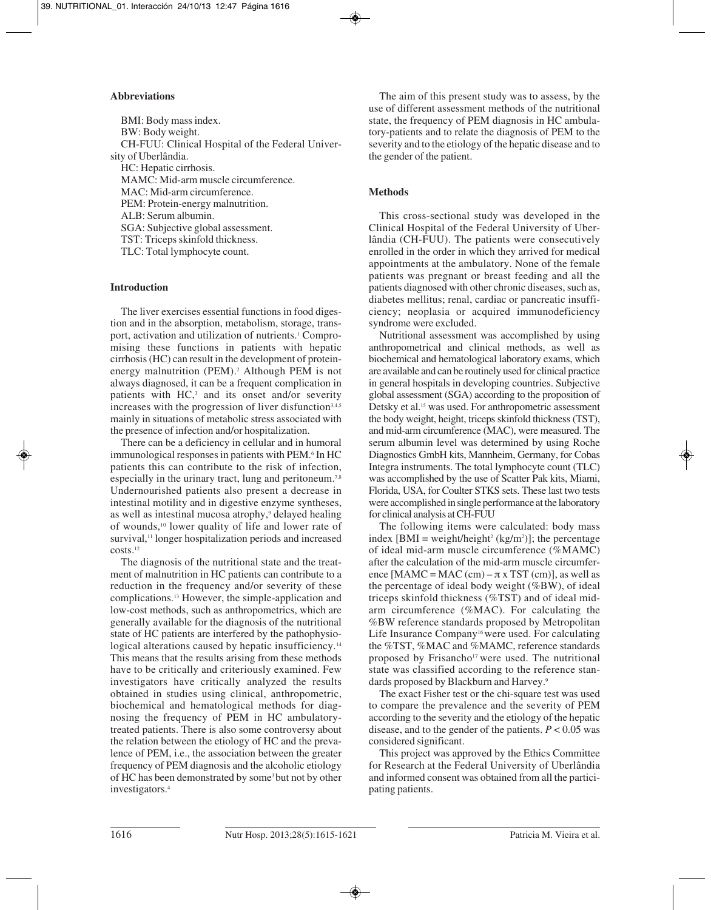## **Abbreviations**

BMI: Body mass index. BW: Body weight. CH-FUU: Clinical Hospital of the Federal University of Uberlândia. HC: Hepatic cirrhosis. MAMC: Mid-arm muscle circumference. MAC: Mid-arm circumference. PEM: Protein-energy malnutrition. ALB: Serum albumin. SGA: Subjective global assessment. TST: Triceps skinfold thickness. TLC: Total lymphocyte count.

## **Introduction**

The liver exercises essential functions in food digestion and in the absorption, metabolism, storage, transport, activation and utilization of nutrients.<sup>1</sup> Compromising these functions in patients with hepatic cirrhosis (HC) can result in the development of proteinenergy malnutrition (PEM).<sup>2</sup> Although PEM is not always diagnosed, it can be a frequent complication in patients with HC,<sup>3</sup> and its onset and/or severity increases with the progression of liver disfunction<sup>3,4,5</sup> mainly in situations of metabolic stress associated with the presence of infection and/or hospitalization.

There can be a deficiency in cellular and in humoral immunological responses in patients with PEM.6 In HC patients this can contribute to the risk of infection, especially in the urinary tract, lung and peritoneum.<sup>7,8</sup> Undernourished patients also present a decrease in intestinal motility and in digestive enzyme syntheses, as well as intestinal mucosa atrophy,<sup>9</sup> delayed healing of wounds,10 lower quality of life and lower rate of survival,<sup>11</sup> longer hospitalization periods and increased costs.12

The diagnosis of the nutritional state and the treatment of malnutrition in HC patients can contribute to a reduction in the frequency and/or severity of these complications.13 However, the simple-application and low-cost methods, such as anthropometrics, which are generally available for the diagnosis of the nutritional state of HC patients are interfered by the pathophysiological alterations caused by hepatic insufficiency.<sup>14</sup> This means that the results arising from these methods have to be critically and criteriously examined. Few investigators have critically analyzed the results obtained in studies using clinical, anthropometric, biochemical and hematological methods for diagnosing the frequency of PEM in HC ambulatorytreated patients. There is also some controversy about the relation between the etiology of HC and the prevalence of PEM, i.e., the association between the greater frequency of PEM diagnosis and the alcoholic etiology of HC has been demonstrated by some<sup>3</sup> but not by other investigators.4

The aim of this present study was to assess, by the use of different assessment methods of the nutritional state, the frequency of PEM diagnosis in HC ambulatory-patients and to relate the diagnosis of PEM to the severity and to the etiology of the hepatic disease and to the gender of the patient.

## **Methods**

This cross-sectional study was developed in the Clinical Hospital of the Federal University of Uberlândia (CH-FUU). The patients were consecutively enrolled in the order in which they arrived for medical appointments at the ambulatory. None of the female patients was pregnant or breast feeding and all the patients diagnosed with other chronic diseases, such as, diabetes mellitus; renal, cardiac or pancreatic insufficiency; neoplasia or acquired immunodeficiency syndrome were excluded.

Nutritional assessment was accomplished by using anthropometrical and clinical methods, as well as biochemical and hematological laboratory exams, which are available and can be routinely used for clinical practice in general hospitals in developing countries. Subjective global assessment (SGA) according to the proposition of Detsky et al.<sup>15</sup> was used. For anthropometric assessment the body weight, height, triceps skinfold thickness (TST), and mid-arm circumference (MAC), were measured. The serum albumin level was determined by using Roche Diagnostics GmbH kits, Mannheim, Germany, for Cobas Integra instruments. The total lymphocyte count (TLC) was accomplished by the use of Scatter Pak kits, Miami, Florida, USA, for Coulter STKS sets. These last two tests were accomplished in single performance at the laboratory for clinical analysis at CH-FUU

The following items were calculated: body mass index  $[BMI = weight/height<sup>2</sup> (kg/m<sup>2</sup>)]$ ; the percentage of ideal mid-arm muscle circumference (%MAMC) after the calculation of the mid-arm muscle circumference [MAMC = MAC (cm) –  $\pi$  x TST (cm)], as well as the percentage of ideal body weight (%BW), of ideal triceps skinfold thickness (%TST) and of ideal midarm circumference (%MAC). For calculating the %BW reference standards proposed by Metropolitan Life Insurance Company<sup>16</sup> were used. For calculating the %TST, %MAC and %MAMC, reference standards proposed by Frisancho<sup>17</sup> were used. The nutritional state was classified according to the reference standards proposed by Blackburn and Harvey.9

The exact Fisher test or the chi-square test was used to compare the prevalence and the severity of PEM according to the severity and the etiology of the hepatic disease, and to the gender of the patients.  $P < 0.05$  was considered significant.

This project was approved by the Ethics Committee for Research at the Federal University of Uberlândia and informed consent was obtained from all the participating patients.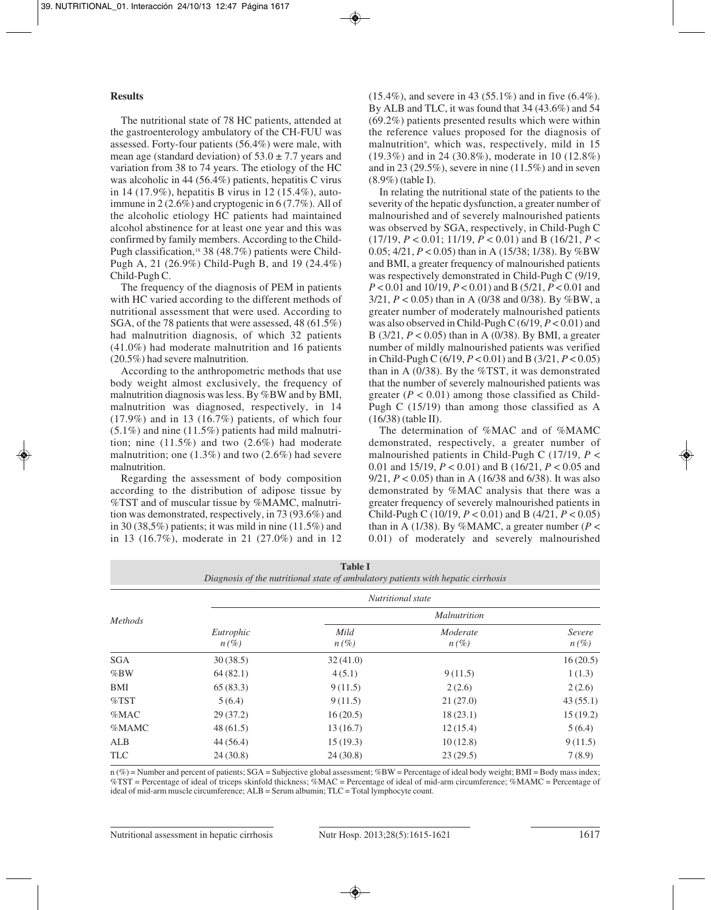## **Results**

The nutritional state of 78 HC patients, attended at the gastroenterology ambulatory of the CH-FUU was assessed. Forty-four patients (56.4%) were male, with mean age (standard deviation) of  $53.0 \pm 7.7$  years and variation from 38 to 74 years. The etiology of the HC was alcoholic in 44 (56.4%) patients, hepatitis C virus in 14 (17.9%), hepatitis B virus in 12 (15.4%), autoimmune in 2 (2.6%) and cryptogenic in 6 (7.7%). All of the alcoholic etiology HC patients had maintained alcohol abstinence for at least one year and this was confirmed by family members. According to the Child-Pugh classification,<sup>18</sup> 38 (48.7%) patients were Child-Pugh A, 21 (26.9%) Child-Pugh B, and 19 (24.4%) Child-Pugh C.

The frequency of the diagnosis of PEM in patients with HC varied according to the different methods of nutritional assessment that were used. According to SGA, of the 78 patients that were assessed, 48 (61.5%) had malnutrition diagnosis, of which 32 patients (41.0%) had moderate malnutrition and 16 patients (20.5%) had severe malnutrition.

According to the anthropometric methods that use body weight almost exclusively, the frequency of malnutrition diagnosis was less. By %BW and by BMI, malnutrition was diagnosed, respectively, in 14  $(17.9\%)$  and in 13  $(16.7\%)$  patients, of which four  $(5.1\%)$  and nine  $(11.5\%)$  patients had mild malnutrition; nine (11.5%) and two (2.6%) had moderate malnutrition; one (1.3%) and two (2.6%) had severe malnutrition.

Regarding the assessment of body composition according to the distribution of adipose tissue by %TST and of muscular tissue by %MAMC, malnutrition was demonstrated, respectively, in 73 (93.6%) and in 30 (38,5%) patients; it was mild in nine (11.5%) and in 13 (16.7%), moderate in 21 (27.0%) and in 12 (15.4%), and severe in 43 (55.1%) and in five (6.4%). By ALB and TLC, it was found that 34 (43.6%) and 54 (69.2%) patients presented results which were within the reference values proposed for the diagnosis of malnutrition<sup>9</sup>, which was, respectively, mild in 15 (19.3%) and in 24 (30.8%), moderate in 10 (12.8%) and in 23 (29.5%), severe in nine  $(11.5\%)$  and in seven (8.9%) (table I).

In relating the nutritional state of the patients to the severity of the hepatic dysfunction, a greater number of malnourished and of severely malnourished patients was observed by SGA, respectively, in Child-Pugh C (17/19, *P* < 0.01; 11/19, *P* < 0.01) and B (16/21, *P* < 0.05; 4/21, *P* < 0.05) than in A (15/38; 1/38). By %BW and BMI, a greater frequency of malnourished patients was respectively demonstrated in Child-Pugh C (9/19, *P* < 0.01 and 10/19, *P* < 0.01) and B (5/21, *P* < 0.01 and 3/21, *P* < 0.05) than in A (0/38 and 0/38). By %BW, a greater number of moderately malnourished patients was also observed in Child-Pugh C (6/19, *P* < 0.01) and B (3/21, *P* < 0.05) than in A (0/38). By BMI, a greater number of mildly malnourished patients was verified in Child-Pugh C (6/19, *P* < 0.01) and B (3/21, *P* < 0.05) than in A  $(0/38)$ . By the %TST, it was demonstrated that the number of severely malnourished patients was greater  $(P < 0.01)$  among those classified as Child-Pugh C (15/19) than among those classified as A (16/38) (table II).

The determination of %MAC and of %MAMC demonstrated, respectively, a greater number of malnourished patients in Child-Pugh C (17/19, *P* < 0.01 and 15/19, *P* < 0.01) and B (16/21, *P* < 0.05 and 9/21, *P* < 0.05) than in A (16/38 and 6/38). It was also demonstrated by %MAC analysis that there was a greater frequency of severely malnourished patients in Child-Pugh C (10/19, *P* < 0.01) and B (4/21, *P* < 0.05) than in A (1/38). By %MAMC, a greater number ( $P <$ 0.01) of moderately and severely malnourished

| <b>Table I</b><br>Diagnosis of the nutritional state of ambulatory patients with hepatic cirrhosis |                      |                 |                     |                   |  |  |  |  |  |  |
|----------------------------------------------------------------------------------------------------|----------------------|-----------------|---------------------|-------------------|--|--|--|--|--|--|
| <b>Methods</b>                                                                                     | Nutritional state    |                 |                     |                   |  |  |  |  |  |  |
|                                                                                                    |                      |                 | <i>Malnutrition</i> |                   |  |  |  |  |  |  |
|                                                                                                    | Eutrophic<br>$n(\%)$ | Mild<br>$n(\%)$ | Moderate<br>$n(\%)$ | Severe<br>$n(\%)$ |  |  |  |  |  |  |
| <b>SGA</b>                                                                                         | 30(38.5)             | 32(41.0)        |                     | 16(20.5)          |  |  |  |  |  |  |
| %BW                                                                                                | 64(82.1)             | 4(5.1)          | 9(11.5)             | 1(1.3)            |  |  |  |  |  |  |
| BMI                                                                                                | 65(83.3)             | 9(11.5)         | 2(2.6)              | 2(2.6)            |  |  |  |  |  |  |
| $\%$ TST                                                                                           | 5(6.4)               | 9(11.5)         | 21(27.0)            | 43(55.1)          |  |  |  |  |  |  |
| %MAC                                                                                               | 29(37.2)             | 16(20.5)        | 18(23.1)            | 15(19.2)          |  |  |  |  |  |  |
| %MAMC                                                                                              | 48(61.5)             | 13(16.7)        | 12(15.4)            | 5(6.4)            |  |  |  |  |  |  |
| ALB                                                                                                | 44(56.4)             | 15(19.3)        | 10(12.8)            | 9(11.5)           |  |  |  |  |  |  |
| <b>TLC</b>                                                                                         | 24(30.8)             | 24(30.8)        | 23(29.5)            | 7(8.9)            |  |  |  |  |  |  |

n (%) = Number and percent of patients; SGA = Subjective global assessment; %BW = Percentage of ideal body weight; BMI = Body mass index; %TST = Percentage of ideal of triceps skinfold thickness; %MAC = Percentage of ideal of mid-arm circumference; %MAMC = Percentage of ideal of mid-arm muscle circumference; ALB = Serum albumin; TLC = Total lymphocyte count.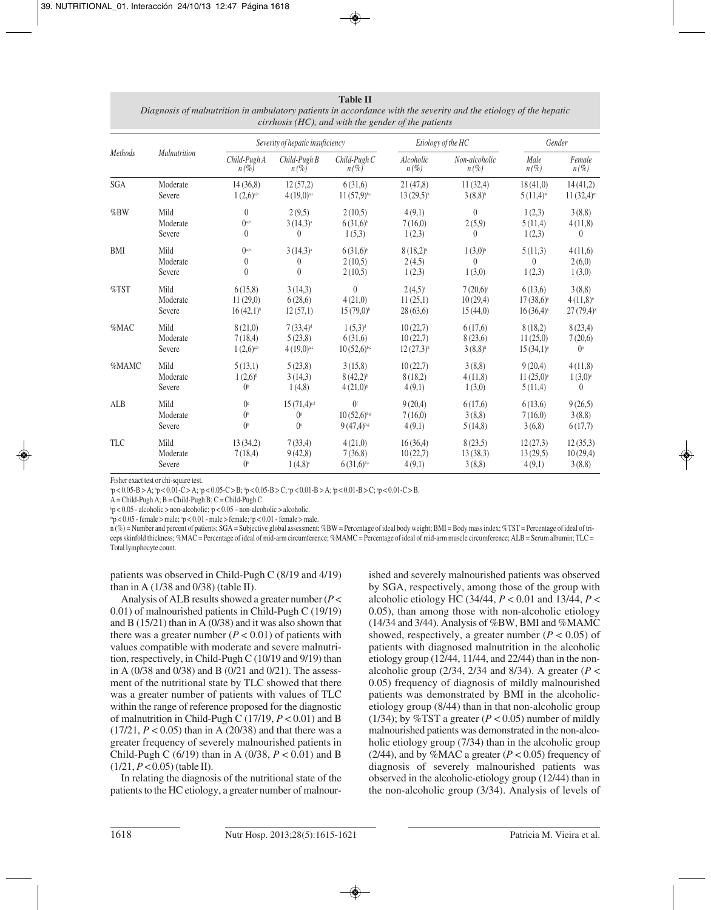**Table II** *Diagnosis of malnutrition in ambulatory patients in accordance with the severity and the etiology of the hepatic cirrhosis (HC), and with the gender of the patients*

| Methods    | Malnutrition | Severity of hepatic insuficiency |                              |                         | Etiology of the HC      |                          | Gender                  |                       |
|------------|--------------|----------------------------------|------------------------------|-------------------------|-------------------------|--------------------------|-------------------------|-----------------------|
|            |              | Child-Pugh A<br>$n(\%)$          | $Child$ -Pugh $B$<br>$n(\%)$ | Child-Pugh C<br>$n(\%)$ | Alcoholic<br>$n(\%)$    | Non-alcoholic<br>$n(\%)$ | Male<br>$n(\%)$         | Female<br>$n(\%)$     |
| <b>SGA</b> | Moderate     | 14(36,8)                         | 12(57,2)                     | 6(31,6)                 | 21(47,8)                | 11(32,4)                 | 18(41,0)                | 14(41,2)              |
|            | Severe       | $1(2,6)^{a,b}$                   | $4(19,0)^{a,c}$              | $11(57,9)^{b,c}$        | $13(29.5)$ <sup>h</sup> | $3(8.8)$ <sup>h</sup>    | $5(11,4)^m$             | $11(32,4)^m$          |
| %BW        | Mild         | $\theta$                         | 2(9,5)                       | 2(10,5)                 | 4(9,1)                  | $\Omega$                 | 1(2,3)                  | 3(8,8)                |
|            | Moderate     | $()^{a,b}$                       | $3(14,3)$ <sup>a</sup>       | $6(31.6)^{b}$           | 7(16,0)                 | 2(5,9)                   | 5(11,4)                 | 4(11,8)               |
|            | Severe       | $\theta$                         | 0                            | 1(5,3)                  | 1(2,3)                  | $\theta$                 | 1(2,3)                  | $\theta$              |
| <b>BMI</b> | Mild         | 0 <sub>a,b</sub>                 | $3(14,3)$ <sup>a</sup>       | $6(31,6)^{b}$           | $8(18,2)$ <sup>h</sup>  | $1(3,0)$ <sup>h</sup>    | 5(11,3)                 | 4(11,6)               |
|            | Moderate     | $\theta$                         | 0                            | 2(10.5)                 | 2(4,5)                  | $\theta$                 | $\theta$                | 2(6,0)                |
|            | Severe       | $\theta$                         | $\theta$                     | 2(10,5)                 | 1(2,3)                  | 1(3,0)                   | 1(2,3)                  | 1(3,0)                |
| $\%$ TST   | Mild         | 6(15,8)                          | 3(14,3)                      | $\theta$                | $2(4,5)^{i}$            | $7(20,6)^{i}$            | 6(13,6)                 | 3(8,8)                |
|            | Moderate     | 11(29,0)                         | 6(28,6)                      | 4(21,0)                 | 11(25,1)                | 10(29,4)                 | 17(38,6)°               | 4(11,8)°              |
|            | Severe       | $16(42,1)$ <sup>b</sup>          | 12(57,1)                     | $15(79,0)^{b}$          | 28(63,6)                | 15(44,0)                 | $16(36,4)^x$            | $27(79,4)^x$          |
| %MAC       | Mild         | 8(21,0)                          | 7(33,4) <sup>d</sup>         | 1(5,3) <sup>d</sup>     | 10(22,7)                | 6(17,6)                  | 8(18,2)                 | 8(23,4)               |
|            | Moderate     | 7(18,4)                          | 5(23,8)                      | 6(31,6)                 | 10(22,7)                | 8(23,6)                  | 11(25,0)                | 7(20,6)               |
|            | Severe       | $1(2,6)^{a,b}$                   | $4(19,0)^{a,c}$              | $10(52,6)^{b,c}$        | $12(27,3)$ <sup>h</sup> | $3(8,8)$ <sup>h</sup>    | $15(34,1)$ <sup>o</sup> | $0^{\circ}$           |
| %MAMC      | Mild         | 5(13,1)                          | 5(23,8)                      | 3(15,8)                 | 10(22,7)                | 3(8,8)                   | 9(20,4)                 | 4(11,8)               |
|            | Moderate     | $1(2,6)^{b}$                     | 3(14,3)                      | $8(42,2)^{b}$           | 8(18,2)                 | 4(11,8)                  | $11(25,0)$ <sup>o</sup> | $1(3,0)$ <sup>o</sup> |
|            | Severe       | $()^{\text{b}}$                  | 1(4,8)                       | $4(21,0)^{b}$           | 4(9,1)                  | 1(3,0)                   | 5(11,4)                 | $\theta$              |
| ALB        | Mild         | $()^e$                           | $15(71,4)$ e,f               | 0 <sup>f</sup>          | 9(20,4)                 | 6(17,6)                  | 6(13,6)                 | 9(26,5)               |
|            | Moderate     | $()^{\text{b}}$                  | $\int$                       | $10(52,6)$ b.g          | 7(16,0)                 | 3(8,8)                   | 7(16,0)                 | 3(8,8)                |
|            | Severe       | $()^{\text{b}}$                  | $0^{\circ}$                  | $9(47,4)^{b,g}$         | 4(9,1)                  | 5(14,8)                  | 3(6,8)                  | 6(17,7)               |
| <b>TLC</b> | Mild         | 13(34,2)                         | 7(33,4)                      | 4(21,0)                 | 16(36,4)                | 8(23,5)                  | 12(27,3)                | 12(35,3)              |
|            | Moderate     | 7(18,4)                          | 9(42,8)                      | 7(36,8)                 | 10(22,7)                | 13(38,3)                 | 13(29.5)                | 10(29,4)              |
|            | Severe       | $()^{\text{b}}$                  | $1(4,8)^c$                   | $6(31,6)^{b,c}$         | 4(9,1)                  | 3(8,8)                   | 4(9,1)                  | 3(8,8)                |

Fisher exact test or chi-square test.

 $p$  < 0.05-B > A;  $\dot{p}$  < 0.01-C > A;  $\dot{p}$  < 0.05-C > B;  $\dot{p}$  < 0.05-B > C;  $\dot{p}$  < 0.01-B > A;  $\dot{p}$  < 0.01-B > C;  $\ddot{s}$   $p$  < 0.01-C > B.

 $A = Child-Pugh A$ ;  $B = Child-Pugh B$ ;  $C = Child-Pugh C$ .

h p < 0.05 - alcoholic > non-alcoholic; i

 $p < 0.05$  - alcoholic > non-alcoholic; 'p < 0.05 – non-alcoholic > alcoholic.<br>"p < 0.05 - female > male; 'p < 0.01 - male > female; 'p < 0.01 - female > male.

n (%) = Number and percent of patients; SGA = Subjective global assessment; %BW = Percentage of ideal body weight; BMI = Body mass index; %TST = Percentage of ideal of triceps skinfold thickness; %MAC = Percentage of ideal of mid-arm circumference; %MAMC = Percentage of ideal of mid-arm muscle circumference; ALB = Serum albumin; TLC = Total lymphocyte count.

patients was observed in Child-Pugh C (8/19 and 4/19) than in A (1/38 and 0/38) (table II).

Analysis of ALB results showed a greater number (*P* < 0.01) of malnourished patients in Child-Pugh C (19/19) and B (15/21) than in A (0/38) and it was also shown that there was a greater number  $(P < 0.01)$  of patients with values compatible with moderate and severe malnutrition, respectively, in Child-Pugh C (10/19 and 9/19) than in A (0/38 and 0/38) and B (0/21 and 0/21). The assessment of the nutritional state by TLC showed that there was a greater number of patients with values of TLC within the range of reference proposed for the diagnostic of malnutrition in Child-Pugh C (17/19, *P* < 0.01) and B  $(17/21, P < 0.05)$  than in A  $(20/38)$  and that there was a greater frequency of severely malnourished patients in Child-Pugh C (6/19) than in A (0/38, *P* < 0.01) and B  $(1/21, P < 0.05)$  (table II).

In relating the diagnosis of the nutritional state of the patients to the HC etiology, a greater number of malnourished and severely malnourished patients was observed by SGA, respectively, among those of the group with alcoholic etiology HC (34/44, *P* < 0.01 and 13/44, *P* < 0.05), than among those with non-alcoholic etiology (14/34 and 3/44). Analysis of %BW, BMI and %MAMC showed, respectively, a greater number  $(P < 0.05)$  of patients with diagnosed malnutrition in the alcoholic etiology group (12/44, 11/44, and 22/44) than in the nonalcoholic group (2/34, 2/34 and 8/34). A greater (*P* < 0.05) frequency of diagnosis of mildly malnourished patients was demonstrated by BMI in the alcoholicetiology group (8/44) than in that non-alcoholic group (1/34); by %TST a greater  $(P < 0.05)$  number of mildly malnourished patients was demonstrated in the non-alcoholic etiology group (7/34) than in the alcoholic group (2/44), and by %MAC a greater  $(P < 0.05)$  frequency of diagnosis of severely malnourished patients was observed in the alcoholic-etiology group (12/44) than in the non-alcoholic group (3/34). Analysis of levels of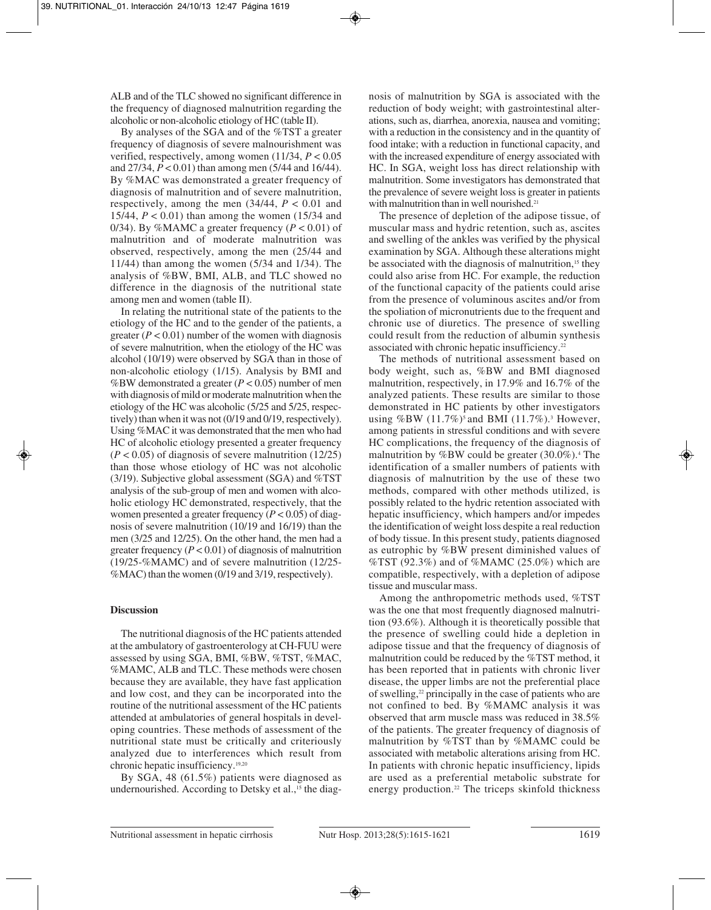ALB and of the TLC showed no significant difference in the frequency of diagnosed malnutrition regarding the alcoholic or non-alcoholic etiology of HC (table II).

By analyses of the SGA and of the %TST a greater frequency of diagnosis of severe malnourishment was verified, respectively, among women (11/34, *P* < 0.05 and 27/34, *P* < 0.01) than among men (5/44 and 16/44). By %MAC was demonstrated a greater frequency of diagnosis of malnutrition and of severe malnutrition, respectively, among the men (34/44, *P* < 0.01 and 15/44, *P* < 0.01) than among the women (15/34 and 0/34). By %MAMC a greater frequency  $(P < 0.01)$  of malnutrition and of moderate malnutrition was observed, respectively, among the men (25/44 and 11/44) than among the women (5/34 and 1/34). The analysis of %BW, BMI, ALB, and TLC showed no difference in the diagnosis of the nutritional state among men and women (table II).

In relating the nutritional state of the patients to the etiology of the HC and to the gender of the patients, a greater  $(P < 0.01)$  number of the women with diagnosis of severe malnutrition, when the etiology of the HC was alcohol (10/19) were observed by SGA than in those of non-alcoholic etiology (1/15). Analysis by BMI and %BW demonstrated a greater (*P* < 0.05) number of men with diagnosis of mild or moderate malnutrition when the etiology of the HC was alcoholic (5/25 and 5/25, respectively) than when it was not (0/19 and 0/19, respectively). Using %MAC it was demonstrated that the men who had HC of alcoholic etiology presented a greater frequency  $(P < 0.05)$  of diagnosis of severe malnutrition  $(12/25)$ than those whose etiology of HC was not alcoholic (3/19). Subjective global assessment (SGA) and %TST analysis of the sub-group of men and women with alcoholic etiology HC demonstrated, respectively, that the women presented a greater frequency  $(P < 0.05)$  of diagnosis of severe malnutrition (10/19 and 16/19) than the men (3/25 and 12/25). On the other hand, the men had a greater frequency  $(P < 0.01)$  of diagnosis of malnutrition (19/25-%MAMC) and of severe malnutrition (12/25- %MAC) than the women (0/19 and 3/19, respectively).

## **Discussion**

The nutritional diagnosis of the HC patients attended at the ambulatory of gastroenterology at CH-FUU were assessed by using SGA, BMI, %BW, %TST, %MAC, %MAMC, ALB and TLC. These methods were chosen because they are available, they have fast application and low cost, and they can be incorporated into the routine of the nutritional assessment of the HC patients attended at ambulatories of general hospitals in developing countries. These methods of assessment of the nutritional state must be critically and criteriously analyzed due to interferences which result from chronic hepatic insufficiency.19,20

By SGA, 48 (61.5%) patients were diagnosed as undernourished. According to Detsky et al.,<sup>15</sup> the diagnosis of malnutrition by SGA is associated with the reduction of body weight; with gastrointestinal alterations, such as, diarrhea, anorexia, nausea and vomiting; with a reduction in the consistency and in the quantity of food intake; with a reduction in functional capacity, and with the increased expenditure of energy associated with HC. In SGA, weight loss has direct relationship with malnutrition. Some investigators has demonstrated that the prevalence of severe weight loss is greater in patients with malnutrition than in well nourished.<sup>21</sup>

The presence of depletion of the adipose tissue, of muscular mass and hydric retention, such as, ascites and swelling of the ankles was verified by the physical examination by SGA. Although these alterations might be associated with the diagnosis of malnutrition,<sup>15</sup> they could also arise from HC. For example, the reduction of the functional capacity of the patients could arise from the presence of voluminous ascites and/or from the spoliation of micronutrients due to the frequent and chronic use of diuretics. The presence of swelling could result from the reduction of albumin synthesis associated with chronic hepatic insufficiency.<sup>22</sup>

The methods of nutritional assessment based on body weight, such as, %BW and BMI diagnosed malnutrition, respectively, in 17.9% and 16.7% of the analyzed patients. These results are similar to those demonstrated in HC patients by other investigators using %BW  $(11.7\%)^5$  and BMI  $(11.7\%)^3$  However, among patients in stressful conditions and with severe HC complications, the frequency of the diagnosis of malnutrition by %BW could be greater  $(30.0\%)$ .<sup>4</sup> The identification of a smaller numbers of patients with diagnosis of malnutrition by the use of these two methods, compared with other methods utilized, is possibly related to the hydric retention associated with hepatic insufficiency, which hampers and/or impedes the identification of weight loss despite a real reduction of body tissue. In this present study, patients diagnosed as eutrophic by %BW present diminished values of %TST (92.3%) and of %MAMC (25.0%) which are compatible, respectively, with a depletion of adipose tissue and muscular mass.

Among the anthropometric methods used, %TST was the one that most frequently diagnosed malnutrition (93.6%). Although it is theoretically possible that the presence of swelling could hide a depletion in adipose tissue and that the frequency of diagnosis of malnutrition could be reduced by the %TST method, it has been reported that in patients with chronic liver disease, the upper limbs are not the preferential place of swelling,22 principally in the case of patients who are not confined to bed. By %MAMC analysis it was observed that arm muscle mass was reduced in 38.5% of the patients. The greater frequency of diagnosis of malnutrition by %TST than by %MAMC could be associated with metabolic alterations arising from HC. In patients with chronic hepatic insufficiency, lipids are used as a preferential metabolic substrate for energy production.<sup>22</sup> The triceps skinfold thickness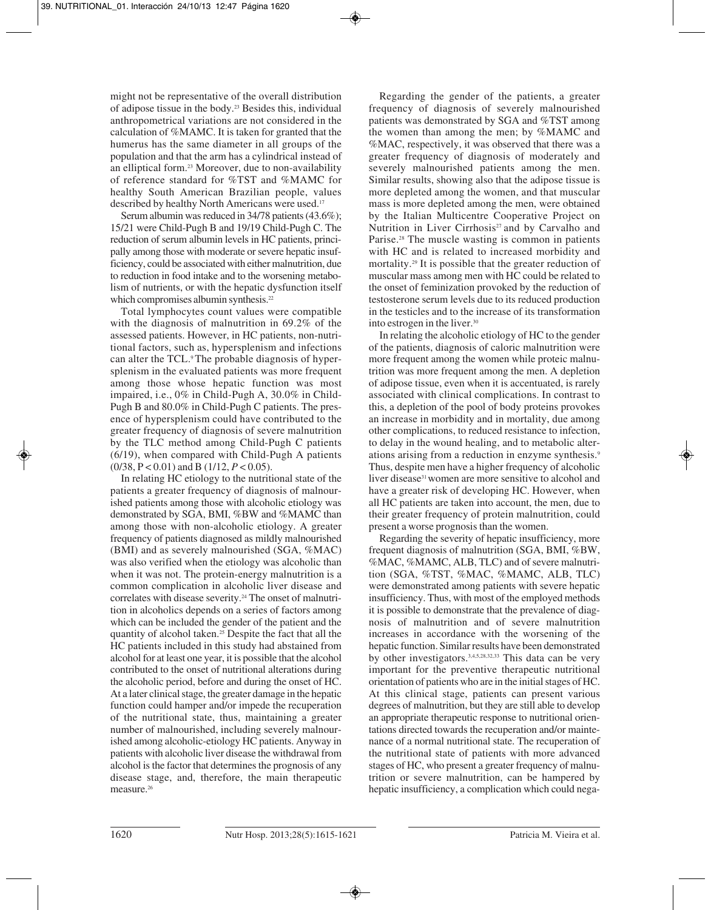might not be representative of the overall distribution of adipose tissue in the body.23 Besides this, individual anthropometrical variations are not considered in the calculation of %MAMC. It is taken for granted that the humerus has the same diameter in all groups of the population and that the arm has a cylindrical instead of an elliptical form.23 Moreover, due to non-availability of reference standard for %TST and %MAMC for healthy South American Brazilian people, values described by healthy North Americans were used.<sup>17</sup>

Serum albumin was reduced in 34/78 patients (43.6%); 15/21 were Child-Pugh B and 19/19 Child-Pugh C. The reduction of serum albumin levels in HC patients, principally among those with moderate or severe hepatic insufficiency, could be associated with either malnutrition, due to reduction in food intake and to the worsening metabolism of nutrients, or with the hepatic dysfunction itself which compromises albumin synthesis.<sup>22</sup>

Total lymphocytes count values were compatible with the diagnosis of malnutrition in 69.2% of the assessed patients. However, in HC patients, non-nutritional factors, such as, hypersplenism and infections can alter the TCL.<sup>9</sup>The probable diagnosis of hypersplenism in the evaluated patients was more frequent among those whose hepatic function was most impaired, i.e., 0% in Child-Pugh A, 30.0% in Child-Pugh B and 80.0% in Child-Pugh C patients. The presence of hypersplenism could have contributed to the greater frequency of diagnosis of severe malnutrition by the TLC method among Child-Pugh C patients (6/19), when compared with Child-Pugh A patients (0/38, P < 0.01) and B (1/12, *P* < 0.05).

In relating HC etiology to the nutritional state of the patients a greater frequency of diagnosis of malnourished patients among those with alcoholic etiology was demonstrated by SGA, BMI, %BW and %MAMC than among those with non-alcoholic etiology. A greater frequency of patients diagnosed as mildly malnourished (BMI) and as severely malnourished (SGA, %MAC) was also verified when the etiology was alcoholic than when it was not. The protein-energy malnutrition is a common complication in alcoholic liver disease and correlates with disease severity.<sup>24</sup> The onset of malnutrition in alcoholics depends on a series of factors among which can be included the gender of the patient and the quantity of alcohol taken.25 Despite the fact that all the HC patients included in this study had abstained from alcohol for at least one year, it is possible that the alcohol contributed to the onset of nutritional alterations during the alcoholic period, before and during the onset of HC. At a later clinical stage, the greater damage in the hepatic function could hamper and/or impede the recuperation of the nutritional state, thus, maintaining a greater number of malnourished, including severely malnourished among alcoholic-etiology HC patients. Anyway in patients with alcoholic liver disease the withdrawal from alcohol is the factor that determines the prognosis of any disease stage, and, therefore, the main therapeutic measure.26

Regarding the gender of the patients, a greater frequency of diagnosis of severely malnourished patients was demonstrated by SGA and %TST among the women than among the men; by %MAMC and %MAC, respectively, it was observed that there was a greater frequency of diagnosis of moderately and severely malnourished patients among the men. Similar results, showing also that the adipose tissue is more depleted among the women, and that muscular mass is more depleted among the men, were obtained by the Italian Multicentre Cooperative Project on Nutrition in Liver Cirrhosis<sup>27</sup> and by Carvalho and Parise.28 The muscle wasting is common in patients with HC and is related to increased morbidity and mortality.29 It is possible that the greater reduction of muscular mass among men with HC could be related to the onset of feminization provoked by the reduction of testosterone serum levels due to its reduced production in the testicles and to the increase of its transformation into estrogen in the liver.30

In relating the alcoholic etiology of HC to the gender of the patients, diagnosis of caloric malnutrition were more frequent among the women while proteic malnutrition was more frequent among the men. A depletion of adipose tissue, even when it is accentuated, is rarely associated with clinical complications. In contrast to this, a depletion of the pool of body proteins provokes an increase in morbidity and in mortality, due among other complications, to reduced resistance to infection, to delay in the wound healing, and to metabolic alterations arising from a reduction in enzyme synthesis.9 Thus, despite men have a higher frequency of alcoholic liver disease<sup>31</sup> women are more sensitive to alcohol and have a greater risk of developing HC. However, when all HC patients are taken into account, the men, due to their greater frequency of protein malnutrition, could present a worse prognosis than the women.

Regarding the severity of hepatic insufficiency, more frequent diagnosis of malnutrition (SGA, BMI, %BW, %MAC, %MAMC, ALB, TLC) and of severe malnutrition (SGA, %TST, %MAC, %MAMC, ALB, TLC) were demonstrated among patients with severe hepatic insufficiency. Thus, with most of the employed methods it is possible to demonstrate that the prevalence of diagnosis of malnutrition and of severe malnutrition increases in accordance with the worsening of the hepatic function. Similar results have been demonstrated by other investigators.3,4,5,28,32,33 This data can be very important for the preventive therapeutic nutritional orientation of patients who are in the initial stages of HC. At this clinical stage, patients can present various degrees of malnutrition, but they are still able to develop an appropriate therapeutic response to nutritional orientations directed towards the recuperation and/or maintenance of a normal nutritional state. The recuperation of the nutritional state of patients with more advanced stages of HC, who present a greater frequency of malnutrition or severe malnutrition, can be hampered by hepatic insufficiency, a complication which could nega